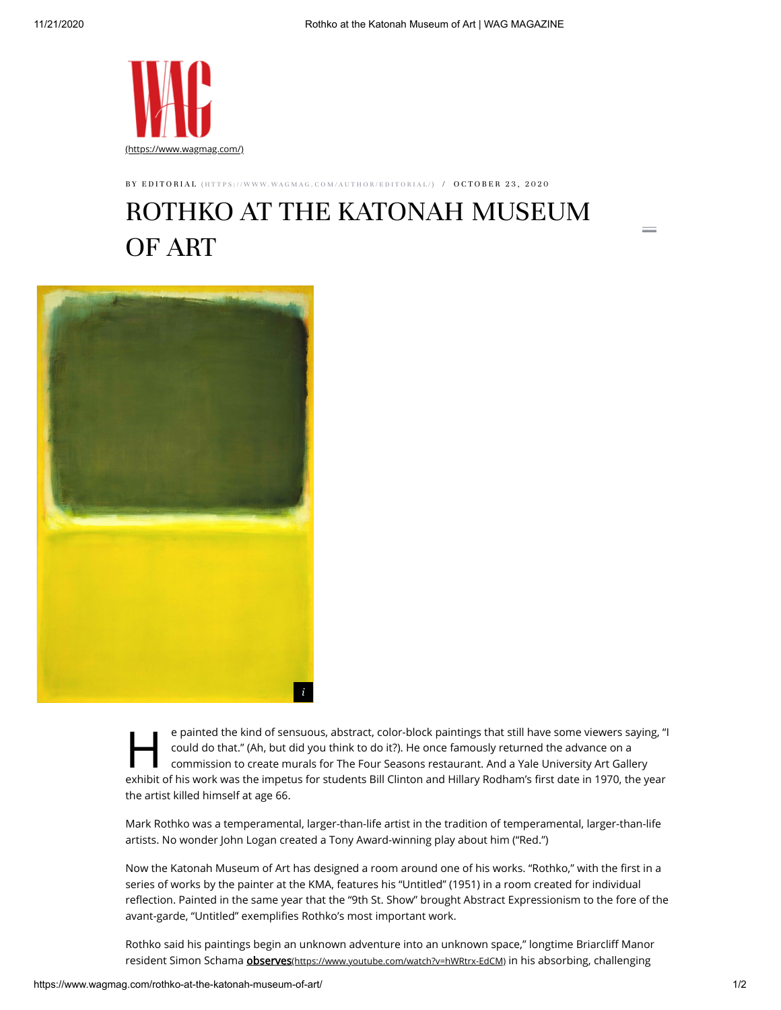

BY EDITORIAL (HTTPS://WWW.WAGMAG.COM[/A](https://www.wagmag.com/author/editorial/)UTHOR/EDITORIAL/) / OCTOBER 23, 2020

## ROTHKO AT THE KATONAH MUSEUM OF ART



e painted the kind of sensuous, abstract, color-block paintings that still have some viewers saying, "I could do that." (Ah, but did you think to do it?). He once famously returned the advance on a commission to create mur e painted the kind of sensuous, abstract, color-block paintings that still have some viewers saying, "I could do that." (Ah, but did you think to do it?). He once famously returned the advance on a commission to create murals for The Four Seasons restaurant. And a Yale University Art Gallery the artist killed himself at age 66.

Mark Rothko was a temperamental, larger-than-life artist in the tradition of temperamental, larger-than-life artists. No wonder John Logan created a Tony Award-winning play about him ("Red.")

Now the Katonah Museum of Art has designed a room around one of his works. "Rothko," with the first in a series of works by the painter at the KMA, features his "Untitled" (1951) in a room created for individual reflection. Painted in the same year that the "9th St. Show" brought Abstract Expressionism to the fore of the avant-garde, "Untitled" exemplifies Rothko's most important work.

Rothko said his paintings begin an unknown adventure into an unknown space," longtime Briarcliff Manor resident Simon Schama **observes**[\(https://www.youtube.com/watch?v=hWRtrx-EdCM\)](https://www.youtube.com/watch?v=hWRtrx-EdCM) in his absorbing, challenging